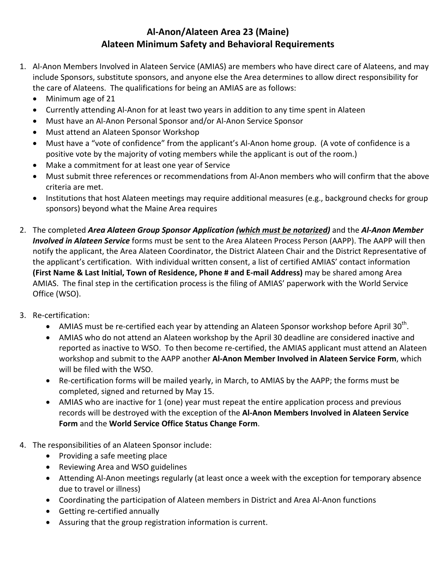## **Al‐Anon/Alateen Area 23 (Maine) Alateen Minimum Safety and Behavioral Requirements**

- 1. Al‐Anon Members Involved in Alateen Service (AMIAS) are members who have direct care of Alateens, and may include Sponsors, substitute sponsors, and anyone else the Area determines to allow direct responsibility for the care of Alateens. The qualifications for being an AMIAS are as follows:
	- Minimum age of 21
	- Currently attending Al-Anon for at least two years in addition to any time spent in Alateen
	- Must have an Al-Anon Personal Sponsor and/or Al-Anon Service Sponsor
	- Must attend an Alateen Sponsor Workshop
	- Must have a "vote of confidence" from the applicant's Al-Anon home group. (A vote of confidence is a positive vote by the majority of voting members while the applicant is out of the room.)
	- Make a commitment for at least one year of Service
	- Must submit three references or recommendations from Al-Anon members who will confirm that the above criteria are met.
	- Institutions that host Alateen meetings may require additional measures (e.g., background checks for group sponsors) beyond what the Maine Area requires
- 2. The completed *Area Alateen Group Sponsor Application (which must be notarized)* and the *Al‐Anon Member Involved in Alateen Service* forms must be sent to the Area Alateen Process Person (AAPP). The AAPP will then notify the applicant, the Area Alateen Coordinator, the District Alateen Chair and the District Representative of the applicant's certification. With individual written consent, a list of certified AMIAS' contact information **(First Name & Last Initial, Town of Residence, Phone # and E‐mail Address)** may be shared among Area AMIAS. The final step in the certification process is the filing of AMIAS' paperwork with the World Service Office (WSO).
- 3. Re‐certification:
	- AMIAS must be re-certified each year by attending an Alateen Sponsor workshop before April 30<sup>th</sup>.
	- AMIAS who do not attend an Alateen workshop by the April 30 deadline are considered inactive and reported as inactive to WSO. To then become re‐certified, the AMIAS applicant must attend an Alateen workshop and submit to the AAPP another **Al‐Anon Member Involved in Alateen Service Form**, which will be filed with the WSO.
	- Re-certification forms will be mailed yearly, in March, to AMIAS by the AAPP; the forms must be completed, signed and returned by May 15.
	- AMIAS who are inactive for 1 (one) year must repeat the entire application process and previous records will be destroyed with the exception of the **Al‐Anon Members Involved in Alateen Service Form** and the **World Service Office Status Change Form**.
- 4. The responsibilities of an Alateen Sponsor include:
	- Providing a safe meeting place
	- Reviewing Area and WSO guidelines
	- Attending Al-Anon meetings regularly (at least once a week with the exception for temporary absence due to travel or illness)
	- Coordinating the participation of Alateen members in District and Area Al-Anon functions
	- Getting re-certified annually
	- Assuring that the group registration information is current.